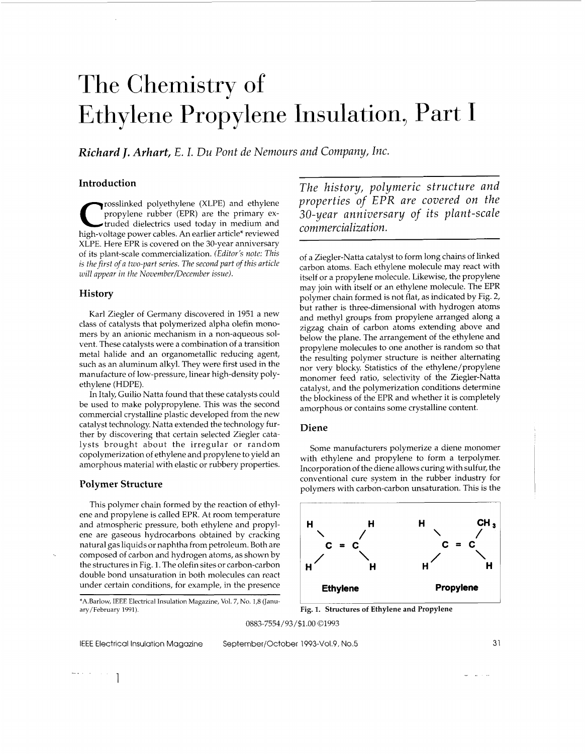# The Chemistrv of Ethylene Propylene Insulation, Part I

*Richard J. Arhart, E. I. Du Pont de Nemours and Company, Inc.* 

## **Introduction**

**Trosslinked polyethylene (XLPE) and ethylene propylene rubber (EPR) are the primary ex**truded dielectrics used today in medium and high-voltage power cables. An earlier article\* reviewed XLPE. Here EPR is covered on the 30-year anniversary of its plant-scale commercialization. *(Editor's note: This is the first of a two-part series. The second part of this article will appear in the November/December issue).* 

### **History**

Karl Ziegler of Germany discovered in 1951 a new class of catalysts that polymerized alpha olefin monomers by an anionic mechanism in a non-aqueous solvent. These catalysts were a combination of a transition metal halide and an organometallic reducing agent, such as an aluminum alkyl. They were first used in the manufacture of low-pressure, linear high-density polyethylene (HDPE).

In Italy, Guilio Natta found that these catalysts could be used to make polypropylene. This was the second commercial crystalline plastic developed from the new catalyst technology. Natta extended the technology further by discovering that certain selected Ziegler catalysts brought about the irregular or random copolymerization of ethylene and propylene to yield an amorphous material with elastic or rubbery properties.

## **Polymer Structure**

.-

This polymer chain formed by the reaction of ethylene and propylene is called EPR. At room temperature and atmospheric pressure, both ethylene and propylene are gaseous hydrocarbons obtained by cracking natural gas liquids or naphtha from petroleum. Both are composed of carbon and hydrogen atoms, as shown by the structures in Fig. 1. The olefin sites or carbon-carbon double bond unsaturation in both molecules can react under certain conditions, for example, in the presence

\*A.Barlow, IEEE Electrical Insulation Magazine, Vol. 7, No. 1,8 (January/February 1991).

*The history, polymeric structure and properties of EPR are covered on the 30-year anniversary* of *its plant-scale commercializa t ion.* 

of a Ziegler-Natta catalyst to form long chains of linked carbon atoms. Each ethylene molecule may react with itself or a propylene molecule. Likewise, the propylene may join with itself or an ethylene molecule. The EPR polymer chain formed is not flat, as indicated by Fig. 2, but rather is three-dimensional with hydrogen atoms and methyl groups from propylene arranged along a zigzag chain of carbon atoms extending above and below the plane. The arrangement of the ethylene and propylene molecules to one another is random so that the resulting polymer structure is neither alternating nor very blocky. Statistics of the ethylene/propylene monomer feed ratio, selectivity of the Ziegler-Natta catalyst, and the polymerization conditions determine the blockiness of the EPR and whether it is completely amorphous or contains some crystalline content.

## **Diene**

Some manufacturers polymerize a diene monomer with ethylene and propylene to form a terpolymer. Incorporation of the diene allows curing with sulfur, the conventional cure system in the rubber industry for polymers with carbon-carbon unsaturation. This is the



**Fig. 1. Structures of Ethylene and Propylene** 

#### 0883-7554/93/\$1.00 ©1993

1 -.

IEEE Electrical Insulation Magazine September/October 1993-Vol.9, No.5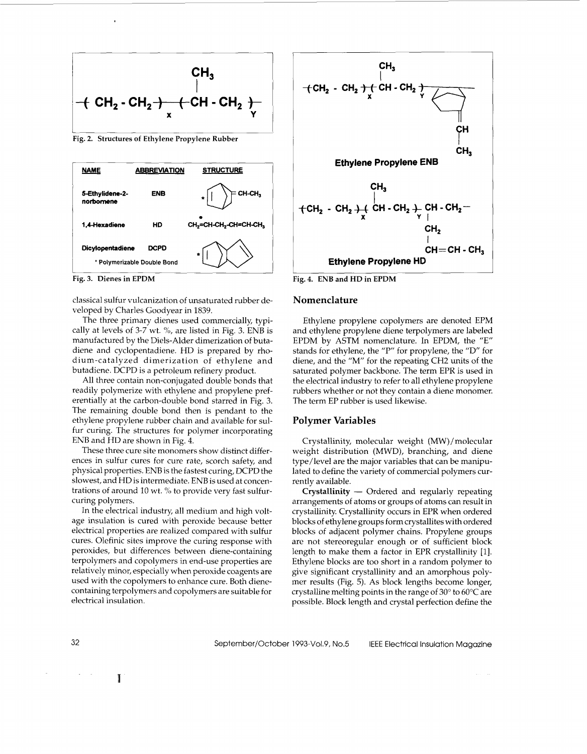

**Fig. 2. Structures of Ethylene Propylene Rubber** 



**Fig. 3. Dienes in EPDM** 

classical sulfur vulcanization of unsaturated rubber developed by Charles Goodyear in 1839.

The three primary dienes used commercially, typically at levels of 3-7 wt. %, are listed in Fig. 3. ENB is manufactured by the Diels-Alder dimerization of butadiene and cyclopentadiene. HD is prepared by rhodium-catalyzed dimerization of ethylene and butadiene. DCPD is a petroleum refinery product.

All three contain non-conjugated double bonds that readily polymerize with ethylene and propylene preferentially at the carbon-double bond starred in Fig. 3. The remaining double bond then is pendant to the ethylene propylene rubber chain and available for sulfur curing. The structures for polymer incorporating ENB and HD are shown in Fig. 4.

These three cure site monomers show distinct differences in sulfur cures for cure rate, scorch safety, and physical properties. ENB is the fastest curing, DCPD the slowest, and HD is intermediate. ENB is used at concentrations of around 10 wt. % to provide very fast sulfurcuring polymers.

In the electrical industry, all medium and high voltage insulation is cured with peroxide because better electrical properties are realized compared with sulfur cures. Olefinic sites improve the curing response with peroxides, but differences between diene-containing terpolymers and copolymers in end-use properties are relatively minor, especially when peroxide coagents are used with the copolymers to enhance cure. Both dienecontaining terpolymers and copolymers are suitable for electrical insulation.



**Fig. 4.ENB and HD in EPDM** 

## **Nomenclature**

Ethylene propylene copolymers are denoted EPM and ethylene propylene diene terpolymers are labeled EPDM by ASTM nomenclature. In EPDM, the "E" stands for ethylene, the "P" for propylene, the "D" for diene, and the "M" for the repeating CH2 units of the saturated polymer backbone. The term EPR is used in the electrical industry to refer to all ethylene propylene rubbers whether or not they contain a diene monomer. The term EP rubber is used likewise.

## **Polymer Variables**

Crystallinity, molecular weight (MW)/molecular weight distribution (MWD), branching, and diene type/level are the major variables that can be manipulated to define the variety of commercial polymers currently available.

**Crystallinity** - Ordered and regularly repeating arrangements of atoms or groups of atoms can result in crystallinity. Crystallinity occurs in EPR when ordered blocks of ethylene groups form crystallites with ordered blocks of adjacent polymer chains. Propylene groups are not stereoregular enough or of sufficient block length to make them a factor in EPR crystallinity [l]. Ethylene blocks are too short in a random polymer to give significant crystallinity and an amorphous polymer results (Fig. 5). **As** block lengths become longer, crystalline melting points in the range of *30"* to 60°C are possible. Block length and crystal perfection define the

September/October *1993-Vol.9, No.5* IEEE Electrical Insulation Magazine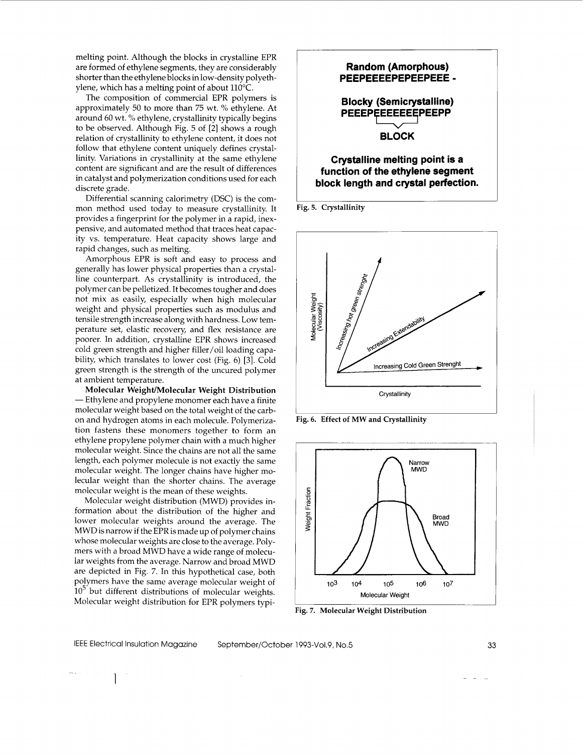melting point. Although the blocks in crystalline EPR are formed of ethylene segments, they are considerably shorter than the ethylene blocks in low-density polyethylene, which has a melting point of about 110°C.

The composition of commercial EPR polymers is approximately 50 to more than 75 wt. % ethylene. At around 60 wt. % ethylene, crystallinity typically begins to be observed. Although Fig. 5 of **[2]** shows a rough relation of crystallinity to ethylene content, it does not follow that ethylene content uniquely defines crystallinity. Variations in crystallinity at the same ethylene content are significant and are the result of differences in catalyst and polymerization conditions used for each discrete grade.

Differential scanning calorimetry (DSC) is the common method used today to measure crystallinity. It provides a fingerprint for the polymer in a rapid, inexpensive, and automated method that traces heat capacity vs. temperature. Heat capacity shows large and rapid changes, such as melting.

Amorphous EPR is soft and easy to process and generally has lower physical properties than a crystalline counterpart. As crystallinity is introduced, the polymer can be pelletized. It becomes tougher and does not mix as easily, especially when high molecular weight and physical properties such as modulus and tensile strength increase along with hardness. Low temperature set, elastic recovery, and flex resistance are poorer. In addition, crystalline EPR shows increased cold green strength and higher filler/oil loading capability, which translates to lower cost (Fig. **6) [3].** Cold green strength is the strength of the uncured polymer at ambient temperature.

**Molecular Weight/Molecular Weight Distribution**  - Ethylene and propylene monomer each have a finite molecular weight based on the total weight of the carbon and hydrogen atoms in each molecule. Polymerization fastens these monomers together to form an ethylene propylene polymer chain with a much higher molecular weight. Since the chains are not all the same length, each polymer molecule is not exactly the same molecular weight. The longer chains have higher molecular weight than the shorter chains. The average molecular weight is the mean of these weights.

Molecular weight distribution (MWD) provides information about the distribution of the higher and lower molecular weights around the average. The MWD is narrow if the EPR is made up of polymer chains whose molecular weights are close to the average. Polymers with a broad MWD have a wide range of molecular weights from the average. Narrow and broad MWD are depicted in Fig. 7. In this hypothetical case, both polymers have the same average molecular weight of  $10<sup>5</sup>$  but different distributions of molecular weights. Molecular weight distribution for EPR polymers typi-



**function of the ethylene segment block length and crystal perfection.** 

**Fig. 5. Crystallinity** 



**Fig. 6. Effect of MW and Crystallinity** 



**Fig. 7. Molecular Weight Distribution** 

1

IEEE Electrical Insulation Magazine September/October 1993-Vo1.9, N0.5 33

- - \_.